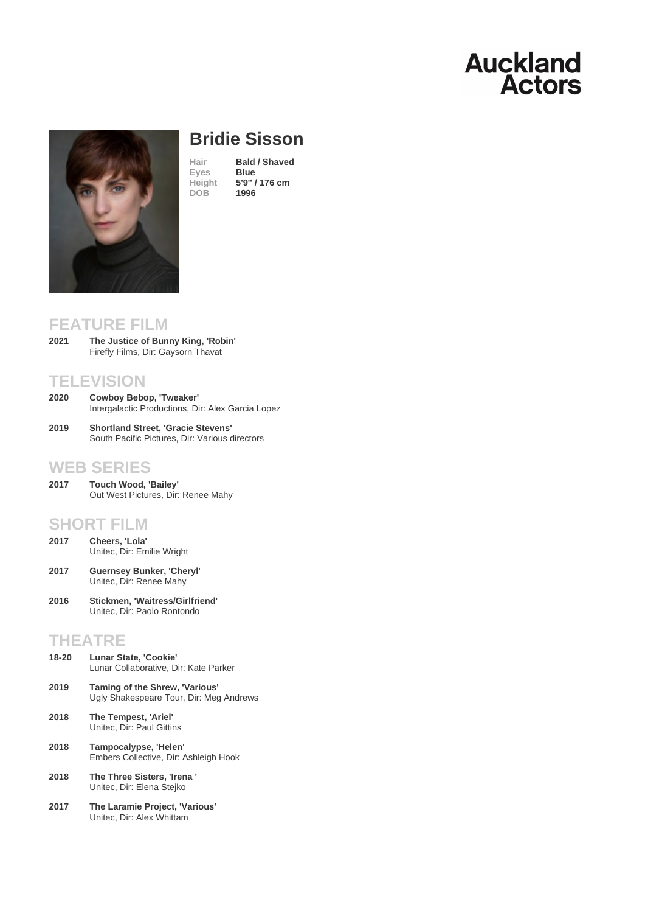# Bridie Sisson

Hair **Bald / Shaved**<br>Eves **Blue** Eyes Height [5](/actors/details/bridie-sisson)'[9](/actors/details/bridie-sisson)" [/ 176 cm](/actors/details/bridie-sisson)<br>DOB 1996 1996

## FEATURE FILM

The Justice of Bunny King, 'Robin' Firefly Films, Dir: Gaysorn Thavat 2021

### **TELEVISION**

- Cowboy Bebop, 'Tweaker' Intergalactic Productions, Dir: Alex Garcia Lopez 2020
- Shortland Street, 'Gracie Stevens' South Pacific Pictures, Dir: Various directors 2019

### WEB SERIES

Touch Wood, 'Bailey' Out West Pictures, Dir: Renee Mahy 2017

#### SHORT FILM

- Cheers, 'Lola' Unitec, Dir: Emilie Wright 2017
- Guernsey Bunker, 'Cheryl' Unitec, Dir: Renee Mahy 2017
- Stickmen, 'Waitress/Girlfriend' Unitec, Dir: Paolo Rontondo 2016

## THEATRE

| $18 - 20$ | Lunar State. 'Cookie'<br>Lunar Collaborative, Dir: Kate Parker            |
|-----------|---------------------------------------------------------------------------|
| 2019      | Taming of the Shrew, 'Various'<br>Ugly Shakespeare Tour, Dir: Meg Andrews |
| 2018      | The Tempest, 'Ariel'<br>Unitec. Dir: Paul Gittins                         |
| 2018      | Tampocalypse, 'Helen'<br>Embers Collective, Dir: Ashleigh Hook            |
| 2018      | The Three Sisters. 'Irena'<br>Unitec, Dir: Elena Stejko                   |

The Laramie Project, 'Various' Unitec, Dir: Alex Whittam 2017